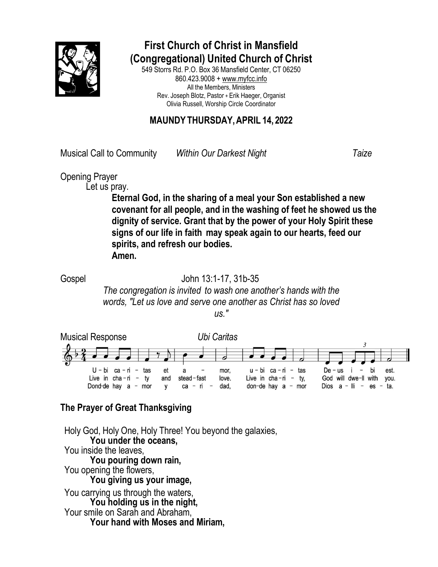

## **First Church of Christ in Mansfield (Congregational) United Church of Christ**

549 Storrs Rd. P.O. Box 36 Mansfield Center, CT 06250 860.423.9008 [+ www.myfcc.info](http://www.myfcc.info/) All the Members, Ministers Rev. Joseph Blotz, Pastor + Erik Haeger, Organist Olivia Russell, Worship Circle Coordinator

## **MAUNDY THURSDAY,APRIL 14, 2022**

Musical Call to Community *Within Our Darkest Night Taize*

Opening Prayer

Let us pray.

**Eternal God, in the sharing of a meal your Son established a new covenant for all people, and in the washing of feet he showed us the dignity of service. Grant that by the power of your Holy Spirit these signs of our life in faith may speak again to our hearts, feed our spirits, and refresh our bodies. Amen.**

## Gospel John 13:1-17, 31b-35

*The congregation is invited to wash one another's hands with the words, "Let us love and serve one another as Christ has so loved us."*



## **The Prayer of Great Thanksgiving**

Holy God, Holy One, Holy Three! You beyond the galaxies, **You under the oceans,** You inside the leaves, **You pouring down rain,** You opening the flowers, **You giving us your image,** You carrying us through the waters, **You holding us in the night,** Your smile on Sarah and Abraham, **Your hand with Moses and Miriam,**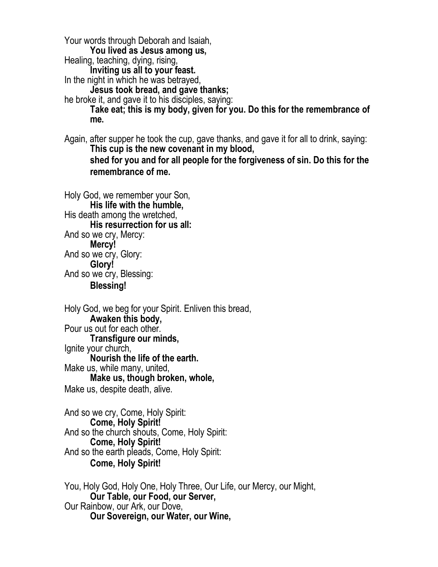Your words through Deborah and Isaiah, **You lived as Jesus among us,** Healing, teaching, dying, rising, **Inviting us all to your feast.** In the night in which he was betrayed, **Jesus took bread, and gave thanks;** he broke it, and gave it to his disciples, saying: **Take eat; this is my body, given for you. Do this for the remembrance of me.**

Again, after supper he took the cup, gave thanks, and gave it for all to drink, saying: **This cup is the new covenant in my blood, shed for you and for all people for the forgiveness of sin. Do this for the remembrance of me.**

Holy God, we remember your Son, **His life with the humble,** His death among the wretched, **His resurrection for us all:** And so we cry, Mercy: **Mercy!** And so we cry, Glory: **Glory!** And so we cry, Blessing: **Blessing!**

Holy God, we beg for your Spirit. Enliven this bread, **Awaken this body,** Pour us out for each other. **Transfigure our minds,** Ignite your church, **Nourish the life of the earth.** Make us, while many, united, **Make us, though broken, whole,** Make us, despite death, alive.

And so we cry, Come, Holy Spirit: **Come, Holy Spirit!** And so the church shouts, Come, Holy Spirit: **Come, Holy Spirit!** And so the earth pleads, Come, Holy Spirit: **Come, Holy Spirit!**

You, Holy God, Holy One, Holy Three, Our Life, our Mercy, our Might, **Our Table, our Food, our Server,** Our Rainbow, our Ark, our Dove, **Our Sovereign, our Water, our Wine,**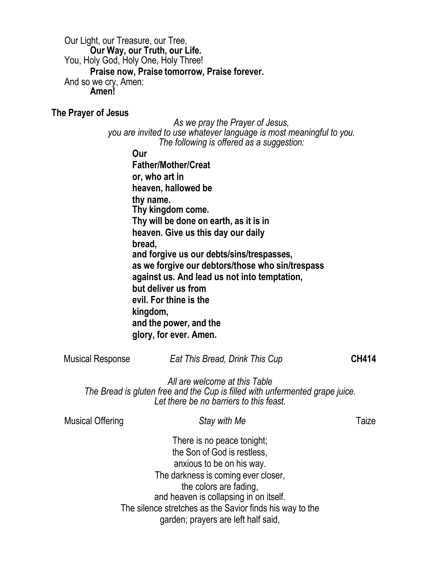Our Light, our Treasure, our Tree, **Our Way, our Truth, our Life.** You, Holy God, Holy One, Holy Three! **Praise now, Praise tomorrow, Praise forever.** And so we cry, Amen: **Amen!**

**The Prayer of Jesus**

*As we pray the Prayer of Jesus, you are invited to use whatever language is most meaningful to you. The following is offered as a suggestion:*

**Our**

**Father/Mother/Creat or, who art in heaven, hallowed be thy name. Thy kingdom come. Thy will be done on earth, as it is in heaven. Give us this day our daily bread, and forgive us our debts/sins/trespasses, as we forgive our debtors/those who sin/trespass against us. And lead us not into temptation, but deliver us from evil. For thine is the kingdom, and the power, and the glory, for ever. Amen.**

| <b>Musical Response</b> | Eat This Bread, Drink This Cup                                                                                                                           | <b>CH414</b> |
|-------------------------|----------------------------------------------------------------------------------------------------------------------------------------------------------|--------------|
|                         | All are welcome at this Table<br>The Bread is gluten free and the Cup is filled with unfermented grape juice.<br>Let there be no barriers to this feast. |              |
| <b>Musical Offering</b> | Stay with Me                                                                                                                                             | Taize        |
|                         | There is no peace tonight;                                                                                                                               |              |

the Son of God is restless, anxious to be on his way. The darkness is coming ever closer, the colors are fading, and heaven is collapsing in on itself. The silence stretches as the Savior finds his way to the garden; prayers are left half said,